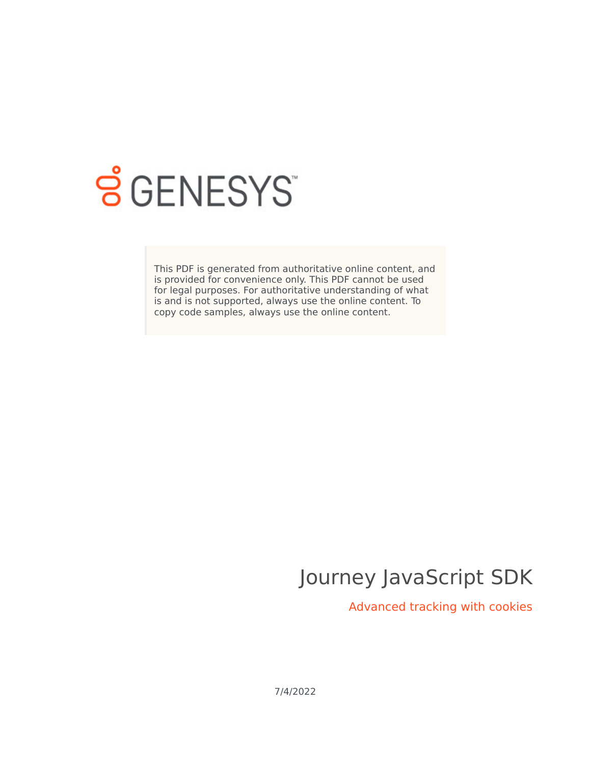

# **SGENESYS**

This PDF is generated from authoritative online content, and is provided for convenience only. This PDF cannot be used for legal purposes. For authoritative understanding of what is and is not supported, always use the online content. To copy code samples, always use the online content.

## Journey JavaScript SDK

Advanced tracking with cookies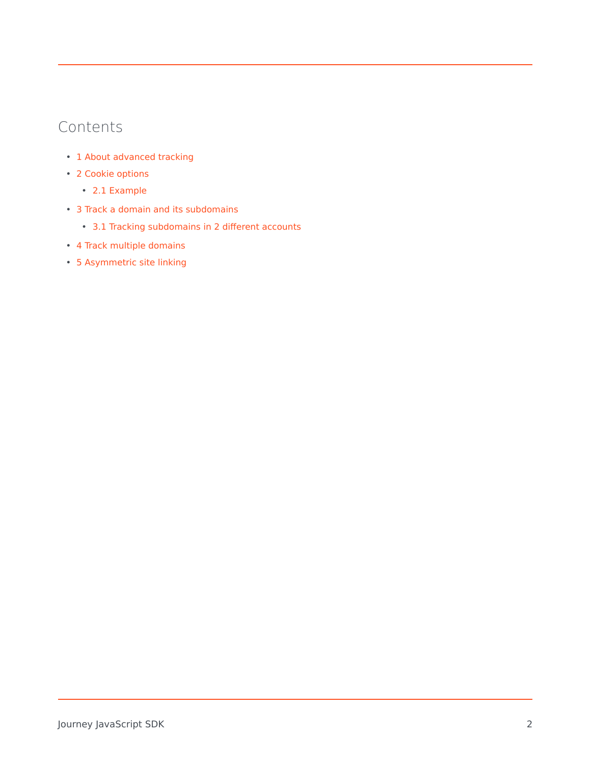## Contents

- 1 [About advanced tracking](#page-2-0)
- 2 [Cookie options](#page-2-1)
	- 2.1 [Example](#page-3-0)
- 3 [Track a domain and its subdomains](#page-3-1)
	- 3.1 [Tracking subdomains in 2 different accounts](#page-3-2)
- 4 [Track multiple domains](#page-3-3)
- 5 [Asymmetric site linking](#page-4-0)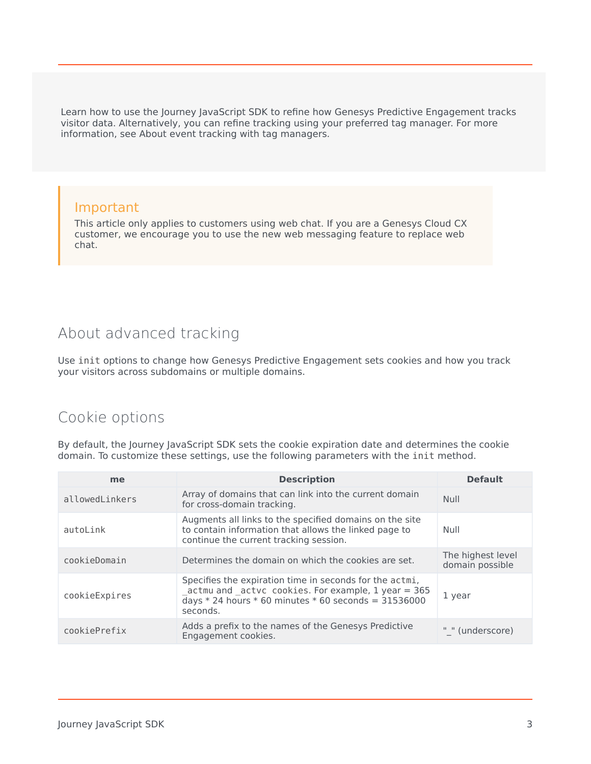Learn how to use the Journey JavaScript SDK to refine how Genesys Predictive Engagement tracks visitor data. Alternatively, you can refine tracking using your preferred tag manager. For more information, see About event tracking with tag managers.

#### Important

This article only applies to customers using web chat. If you are a Genesys Cloud CX customer, we encourage you to use the new web messaging feature to replace web chat.

## <span id="page-2-0"></span>About advanced tracking

Use init options to change how Genesys Predictive Engagement sets cookies and how you track your visitors across subdomains or multiple domains.

## <span id="page-2-1"></span>Cookie options

By default, the Journey JavaScript SDK sets the cookie expiration date and determines the cookie domain. To customize these settings, use the following parameters with the init method.

| me             | <b>Description</b>                                                                                                                                                                                | <b>Default</b>                       |
|----------------|---------------------------------------------------------------------------------------------------------------------------------------------------------------------------------------------------|--------------------------------------|
| allowedLinkers | Array of domains that can link into the current domain<br>for cross-domain tracking.                                                                                                              | <b>Null</b>                          |
| autoLink       | Augments all links to the specified domains on the site<br>to contain information that allows the linked page to<br>continue the current tracking session.                                        | Null                                 |
| cookieDomain   | Determines the domain on which the cookies are set.                                                                                                                                               | The highest level<br>domain possible |
| cookieExpires  | Specifies the expiration time in seconds for the actmi,<br>_actmu and _actvc cookies. For example, 1 year = 365<br>$\overline{d}$ ays * 24 hours * 60 minutes * 60 seconds = 31536000<br>seconds. | 1 year                               |
| cookiePrefix   | Adds a prefix to the names of the Genesys Predictive<br>Engagement cookies.                                                                                                                       | " " (underscore)                     |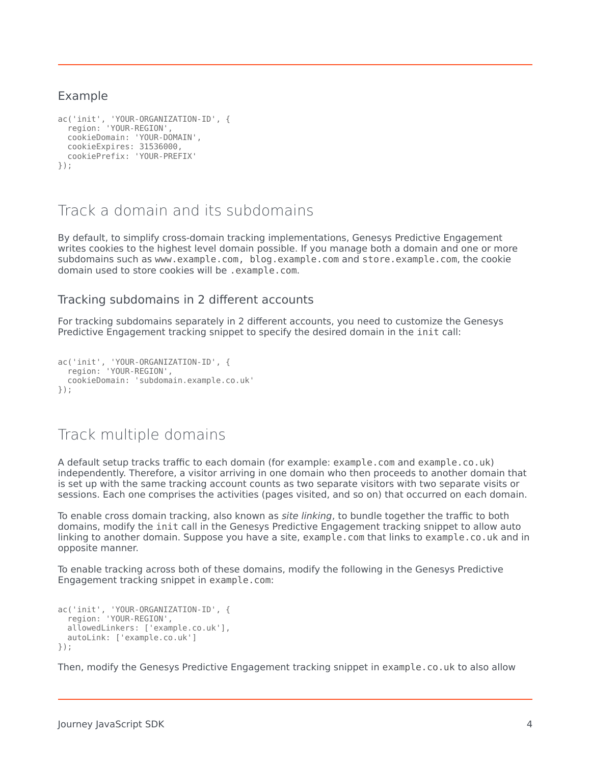#### <span id="page-3-0"></span>Example

```
ac('init', 'YOUR-ORGANIZATION-ID', {
  region: 'YOUR-REGION',
  cookieDomain: 'YOUR-DOMAIN',
  cookieExpires: 31536000,
  cookiePrefix: 'YOUR-PREFIX'
});
```
## <span id="page-3-1"></span>Track a domain and its subdomains

By default, to simplify cross-domain tracking implementations, Genesys Predictive Engagement writes cookies to the highest level domain possible. If you manage both a domain and one or more subdomains such as www.example.com, blog.example.com and store.example.com, the cookie domain used to store cookies will be .example.com.

#### <span id="page-3-2"></span>Tracking subdomains in 2 different accounts

For tracking subdomains separately in 2 different accounts, you need to customize the Genesys Predictive Engagement tracking snippet to specify the desired domain in the init call:

```
ac('init', 'YOUR-ORGANIZATION-ID', {
  region: 'YOUR-REGION',
  cookieDomain: 'subdomain.example.co.uk'
});
```
### <span id="page-3-3"></span>Track multiple domains

A default setup tracks traffic to each domain (for example: example.com and example.co.uk) independently. Therefore, a visitor arriving in one domain who then proceeds to another domain that is set up with the same tracking account counts as two separate visitors with two separate visits or sessions. Each one comprises the activities (pages visited, and so on) that occurred on each domain.

To enable cross domain tracking, also known as *site linking*, to bundle together the traffic to both domains, modify the init call in the Genesys Predictive Engagement tracking snippet to allow auto linking to another domain. Suppose you have a site, example.com that links to example.co.uk and in opposite manner.

To enable tracking across both of these domains, modify the following in the Genesys Predictive Engagement tracking snippet in example.com:

```
ac('init', 'YOUR-ORGANIZATION-ID', {
  region: 'YOUR-REGION',
  allowedLinkers: ['example.co.uk'],
  autoLink: ['example.co.uk']
});
```
Then, modify the Genesys Predictive Engagement tracking snippet in example.co.uk to also allow